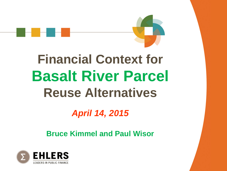

# **Financial Context for Basalt River Parcel Reuse Alternatives**

### *April 14, 2015*

#### **Bruce Kimmel and Paul Wisor**

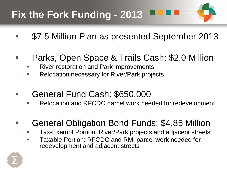# **Fix the Fork Funding - 2013**

- \$7.5 Million Plan as presented September 2013
- Parks, Open Space & Trails Cash: \$2.0 Million
	- River restoration and Park improvements
	- Relocation necessary for River/Park projects
- General Fund Cash: \$650,000
	- Relocation and RFCDC parcel work needed for redevelopment
- General Obligation Bond Funds: \$4.85 Million
	- Tax-Exempt Portion: River/Park projects and adjacent streets
	- Taxable Portion: RFCDC and RMI parcel work needed for redevelopment and adjacent streets

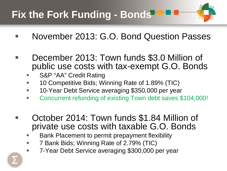# **Fix the Fork Funding - Bonds**

- November 2013: G.O. Bond Question Passes
- December 2013: Town funds \$3.0 Million of public use costs with tax-exempt G.O. Bonds
	- S&P "AA" Credit Rating
	- 10 Competitive Bids; Winning Rate of 1.89% (TIC)
	- 10-Year Debt Service averaging \$350,000 per year
	- Concurrent refunding of existing Town debt saves \$104,000!
- October 2014: Town funds \$1.84 Million of private use costs with taxable G.O. Bonds
	- Bank Placement to permit prepayment flexibility
	- 7 Bank Bids; Winning Rate of 2.79% (TIC)
		- 7-Year Debt Service averaging \$300,000 per year

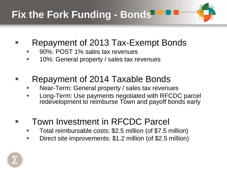

- Repayment of 2013 Tax-Exempt Bonds
	- 90%: POST 1% sales tax revenues
	- 10%: General property / sales tax revenues
- Repayment of 2014 Taxable Bonds
	- Near-Term: General property / sales tax revenues
	- Long-Term: Use payments negotiated with RFCDC parcel redevelopment to reimburse Town and payoff bonds early
- Town Investment in RFCDC Parcel
	- Total reimbursable costs: \$2.5 million (of \$7.5 million)
	- Direct site improvements: \$1.2 million (of \$2.5 million)

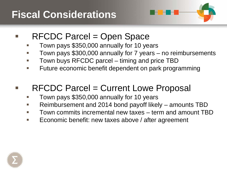# **Fiscal Considerations**



- RFCDC Parcel = Open Space
	- Town pays \$350,000 annually for 10 years
	- Town pays \$300,000 annually for 7 years no reimbursements
	- Town buys RFCDC parcel timing and price TBD
	- Future economic benefit dependent on park programming

#### $\blacksquare$  RFCDC Parcel = Current Lowe Proposal

- Town pays \$350,000 annually for 10 years
- Reimbursement and 2014 bond payoff likely amounts TBD
- Town commits incremental new taxes term and amount TBD
- Economic benefit: new taxes above / after agreement

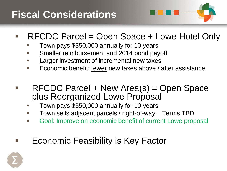# **Fiscal Considerations**



- RFCDC Parcel = Open Space + Lowe Hotel Only
	- Town pays \$350,000 annually for 10 years
	- Smaller reimbursement and 2014 bond payoff
	- Larger investment of incremental new taxes
	- Economic benefit: fewer new taxes above / after assistance
- RFCDC Parcel + New Area(s) = Open Space plus Reorganized Lowe Proposal
	- Town pays \$350,000 annually for 10 years
	- Town sells adjacent parcels / right-of-way Terms TBD
	- Goal: Improve on economic benefit of current Lowe proposal
- **Example Feasibility is Key Factor**

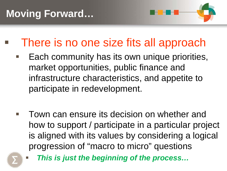

There is no one size fits all approach

- Each community has its own unique priorities, market opportunities, public finance and infrastructure characteristics, and appetite to participate in redevelopment.
- **Town can ensure its decision on whether and** how to support / participate in a particular project is aligned with its values by considering a logical progression of "macro to micro" questions



*This is just the beginning of the process…*